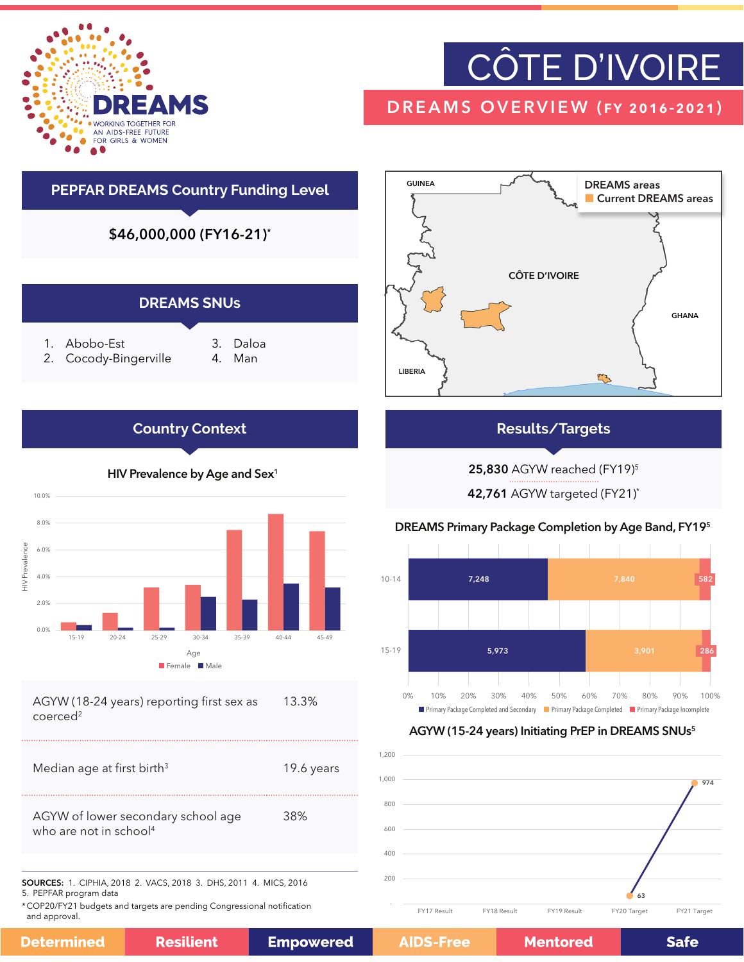

## CÔTE D'IVOIRE

### DREAMS OVERVIEW (fy 2016-2021)





#### **Results/Targets**

25,830 AGYW reached (FY19)5

42,761 AGYW targeted (FY21)\*

#### DREAMS Primary Package Completion by Age Band, FY195



#### AGYW (15-24 years) Initiating PrEP in DREAMS SNUs<sup>5</sup>



63 974 - 200 400 600  $800$ FY17 Result FY18 Result FY19 Result FY20 Target FY21 Target

### **Country Context**



**Determined** 

**Safe**